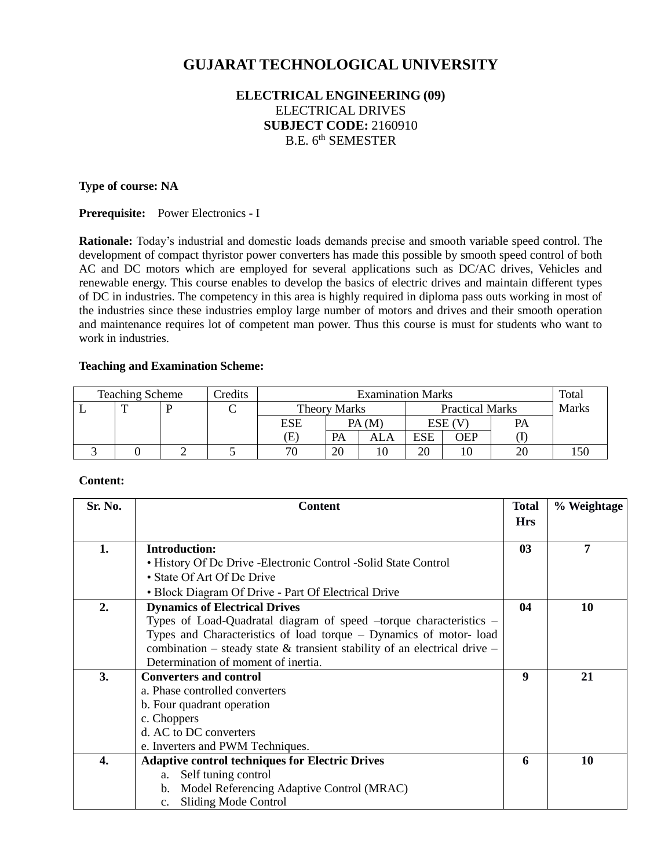# **GUJARAT TECHNOLOGICAL UNIVERSITY**

# **ELECTRICAL ENGINEERING (09)** ELECTRICAL DRIVES **SUBJECT CODE:** 2160910 B.E. 6<sup>th</sup> SEMESTER

#### **Type of course: NA**

**Prerequisite:** Power Electronics - I

**Rationale:** Today's industrial and domestic loads demands precise and smooth variable speed control. The development of compact thyristor power converters has made this possible by smooth speed control of both AC and DC motors which are employed for several applications such as DC/AC drives, Vehicles and renewable energy. This course enables to develop the basics of electric drives and maintain different types of DC in industries. The competency in this area is highly required in diploma pass outs working in most of the industries since these industries employ large number of motors and drives and their smooth operation and maintenance requires lot of competent man power. Thus this course is must for students who want to work in industries.

#### **Teaching and Examination Scheme:**

| <b>Teaching Scheme</b><br>Credits |  |  |  | <b>Examination Marks</b> |                                               |       |     |              | Total |  |
|-----------------------------------|--|--|--|--------------------------|-----------------------------------------------|-------|-----|--------------|-------|--|
|                                   |  |  |  |                          | <b>Practical Marks</b><br><b>Theory Marks</b> |       |     | <b>Marks</b> |       |  |
|                                   |  |  |  | <b>ESE</b>               |                                               | PA(M) |     | ESE (V       | PA    |  |
|                                   |  |  |  | E                        | PA                                            | ALA   | ESE | OEP          |       |  |
|                                   |  |  |  | 70                       | 20                                            |       | 20  |              |       |  |

#### **Content:**

| Sr. No. | <b>Content</b>                                                            | <b>Total</b>  | % Weightage |
|---------|---------------------------------------------------------------------------|---------------|-------------|
|         |                                                                           | <b>Hrs</b>    |             |
| 1.      | <b>Introduction:</b>                                                      | $\mathbf{03}$ | 7           |
|         | • History Of De Drive - Electronic Control - Solid State Control          |               |             |
|         | • State Of Art Of Dc Drive                                                |               |             |
|         | • Block Diagram Of Drive - Part Of Electrical Drive                       |               |             |
| 2.      | <b>Dynamics of Electrical Drives</b>                                      | 04            | 10          |
|         | Types of Load-Quadratal diagram of speed -torque characteristics -        |               |             |
|         | Types and Characteristics of load torque – Dynamics of motor-load         |               |             |
|         | combination – steady state & transient stability of an electrical drive – |               |             |
|         | Determination of moment of inertia.                                       |               |             |
| 3.      | <b>Converters and control</b>                                             | 9             | 21          |
|         | a. Phase controlled converters                                            |               |             |
|         | b. Four quadrant operation                                                |               |             |
|         | c. Choppers                                                               |               |             |
|         | d. AC to DC converters                                                    |               |             |
|         | e. Inverters and PWM Techniques.                                          |               |             |
| 4.      | <b>Adaptive control techniques for Electric Drives</b>                    | 6             | 10          |
|         | Self tuning control<br>a.                                                 |               |             |
|         | Model Referencing Adaptive Control (MRAC)<br>b.                           |               |             |
|         | <b>Sliding Mode Control</b><br>c.                                         |               |             |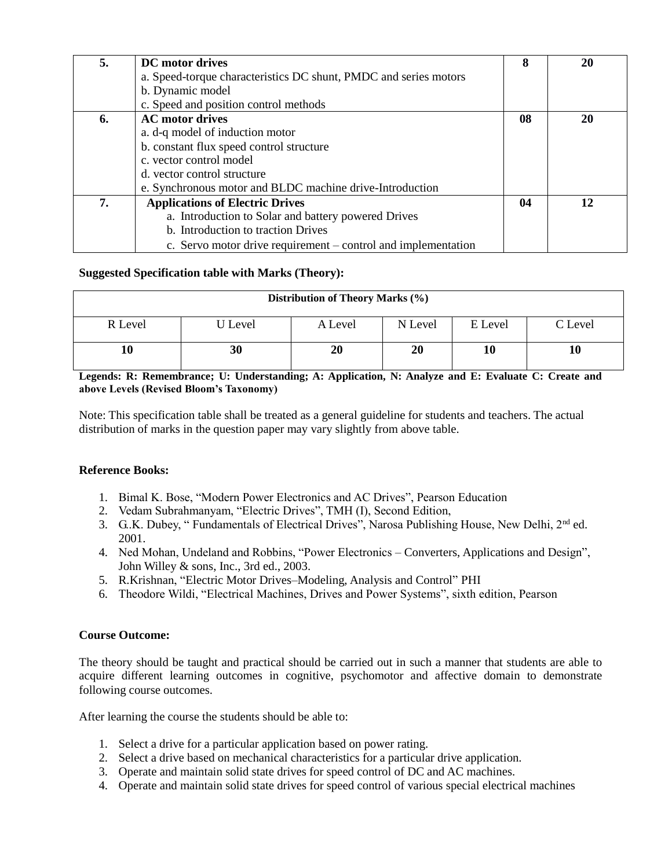| 5. | DC motor drives                                                  | 8  | 20 |
|----|------------------------------------------------------------------|----|----|
|    | a. Speed-torque characteristics DC shunt, PMDC and series motors |    |    |
|    | b. Dynamic model                                                 |    |    |
|    | c. Speed and position control methods                            |    |    |
| 6. | <b>AC</b> motor drives                                           | 08 | 20 |
|    | a. d-q model of induction motor                                  |    |    |
|    | b. constant flux speed control structure                         |    |    |
|    | c. vector control model                                          |    |    |
|    | d. vector control structure                                      |    |    |
|    | e. Synchronous motor and BLDC machine drive-Introduction         |    |    |
| 7. | <b>Applications of Electric Drives</b>                           | 04 | 12 |
|    | a. Introduction to Solar and battery powered Drives              |    |    |
|    | b. Introduction to traction Drives                               |    |    |
|    | c. Servo motor drive requirement – control and implementation    |    |    |

### **Suggested Specification table with Marks (Theory):**

| Distribution of Theory Marks (%) |         |         |         |         |         |  |
|----------------------------------|---------|---------|---------|---------|---------|--|
| R Level                          | U Level | A Level | N Level | E Level | C Level |  |
|                                  | 30      | 20      | 20      | 10      | 10      |  |

**Legends: R: Remembrance; U: Understanding; A: Application, N: Analyze and E: Evaluate C: Create and above Levels (Revised Bloom's Taxonomy)**

Note: This specification table shall be treated as a general guideline for students and teachers. The actual distribution of marks in the question paper may vary slightly from above table.

# **Reference Books:**

- 1. Bimal K. Bose, "Modern Power Electronics and AC Drives", Pearson Education
- 2. Vedam Subrahmanyam, "Electric Drives", TMH (I), Second Edition,
- 3. G..K. Dubey, " Fundamentals of Electrical Drives", Narosa Publishing House, New Delhi, 2nd ed. 2001.
- 4. Ned Mohan, Undeland and Robbins, "Power Electronics Converters, Applications and Design", John Willey & sons, Inc., 3rd ed., 2003.
- 5. R.Krishnan, "Electric Motor Drives–Modeling, Analysis and Control" PHI
- 6. Theodore Wildi, "Electrical Machines, Drives and Power Systems", sixth edition, Pearson

#### **Course Outcome:**

The theory should be taught and practical should be carried out in such a manner that students are able to acquire different learning outcomes in cognitive, psychomotor and affective domain to demonstrate following course outcomes.

After learning the course the students should be able to:

- 1. Select a drive for a particular application based on power rating.
- 2. Select a drive based on mechanical characteristics for a particular drive application.
- 3. Operate and maintain solid state drives for speed control of DC and AC machines.
- 4. Operate and maintain solid state drives for speed control of various special electrical machines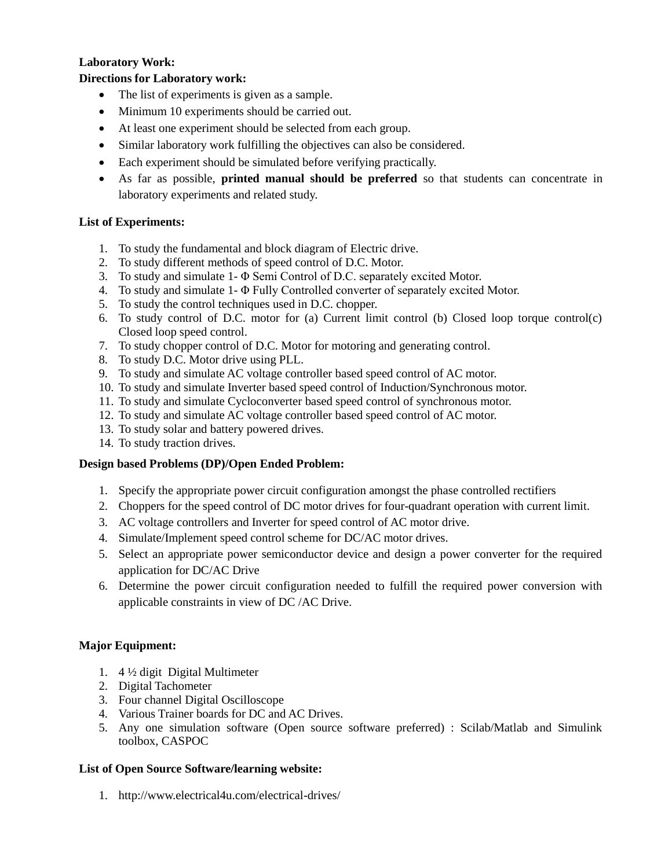## **Laboratory Work:**

#### **Directions for Laboratory work:**

- The list of experiments is given as a sample.
- Minimum 10 experiments should be carried out.
- At least one experiment should be selected from each group.
- Similar laboratory work fulfilling the objectives can also be considered.
- Each experiment should be simulated before verifying practically.
- As far as possible, **printed manual should be preferred** so that students can concentrate in laboratory experiments and related study.

#### **List of Experiments:**

- 1. To study the fundamental and block diagram of Electric drive.
- 2. To study different methods of speed control of D.C. Motor.
- 3. To study and simulate 1- Φ Semi Control of D.C. separately excited Motor.
- 4. To study and simulate 1- Φ Fully Controlled converter of separately excited Motor.
- 5. To study the control techniques used in D.C. chopper.
- 6. To study control of D.C. motor for (a) Current limit control (b) Closed loop torque control(c) Closed loop speed control.
- 7. To study chopper control of D.C. Motor for motoring and generating control.
- 8. To study D.C. Motor drive using PLL.
- 9. To study and simulate AC voltage controller based speed control of AC motor.
- 10. To study and simulate Inverter based speed control of Induction/Synchronous motor.
- 11. To study and simulate Cycloconverter based speed control of synchronous motor.
- 12. To study and simulate AC voltage controller based speed control of AC motor.
- 13. To study solar and battery powered drives.
- 14. To study traction drives.

#### **Design based Problems (DP)/Open Ended Problem:**

- 1. Specify the appropriate power circuit configuration amongst the phase controlled rectifiers
- 2. Choppers for the speed control of DC motor drives for four-quadrant operation with current limit.
- 3. AC voltage controllers and Inverter for speed control of AC motor drive.
- 4. Simulate/Implement speed control scheme for DC/AC motor drives.
- 5. Select an appropriate power semiconductor device and design a power converter for the required application for DC/AC Drive
- 6. Determine the power circuit configuration needed to fulfill the required power conversion with applicable constraints in view of DC /AC Drive.

#### **Major Equipment:**

- 1. 4 ½ digit Digital Multimeter
- 2. Digital Tachometer
- 3. Four channel Digital Oscilloscope
- 4. Various Trainer boards for DC and AC Drives.
- 5. Any one simulation software (Open source software preferred) : Scilab/Matlab and Simulink toolbox, CASPOC

#### **List of Open Source Software/learning website:**

1. http://www.electrical4u.com/electrical-drives/